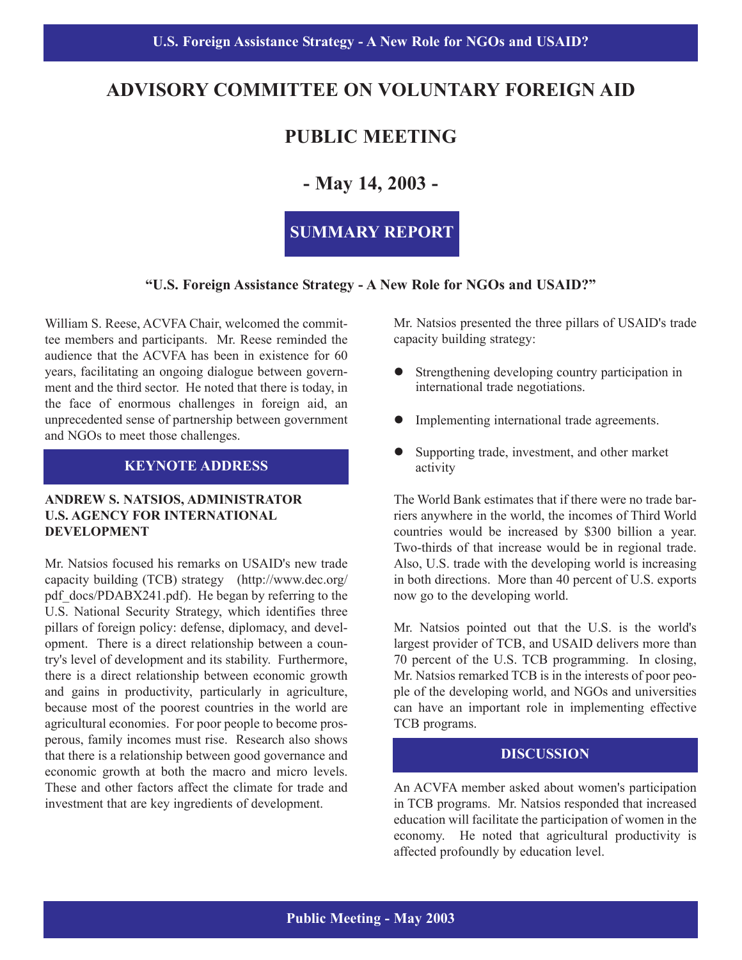## **ADVISORY COMMITTEE ON VOLUNTARY FOREIGN AID**

# **PUBLIC MEETING**

## **- May 14, 2003 -**

## **SUMMARY REPORT**

#### **"U.S. Foreign Assistance Strategy - A New Role for NGOs and USAID?"**

William S. Reese, ACVFA Chair, welcomed the committee members and participants. Mr. Reese reminded the audience that the ACVFA has been in existence for 60 years, facilitating an ongoing dialogue between government and the third sector. He noted that there is today, in the face of enormous challenges in foreign aid, an unprecedented sense of partnership between government and NGOs to meet those challenges.

#### **KEYNOTE ADDRESS**

#### **ANDREW S. NATSIOS, ADMINISTRATOR U.S. AGENCY FOR INTERNATIONAL DEVELOPMENT**

Mr. Natsios focused his remarks on USAID's new trade capacity building (TCB) strategy (http://www.dec.org/ pdf docs/PDABX241.pdf). He began by referring to the U.S. National Security Strategy, which identifies three pillars of foreign policy: defense, diplomacy, and development. There is a direct relationship between a country's level of development and its stability. Furthermore, there is a direct relationship between economic growth and gains in productivity, particularly in agriculture, because most of the poorest countries in the world are agricultural economies. For poor people to become prosperous, family incomes must rise. Research also shows that there is a relationship between good governance and economic growth at both the macro and micro levels. These and other factors affect the climate for trade and investment that are key ingredients of development.

Mr. Natsios presented the three pillars of USAID's trade capacity building strategy:

- Strengthening developing country participation in international trade negotiations.
- Implementing international trade agreements.
- Supporting trade, investment, and other market activity

The World Bank estimates that if there were no trade barriers anywhere in the world, the incomes of Third World countries would be increased by \$300 billion a year. Two-thirds of that increase would be in regional trade. Also, U.S. trade with the developing world is increasing in both directions. More than 40 percent of U.S. exports now go to the developing world.

Mr. Natsios pointed out that the U.S. is the world's largest provider of TCB, and USAID delivers more than 70 percent of the U.S. TCB programming. In closing, Mr. Natsios remarked TCB is in the interests of poor people of the developing world, and NGOs and universities can have an important role in implementing effective TCB programs.

## **DISCUSSION**

An ACVFA member asked about women's participation in TCB programs. Mr. Natsios responded that increased education will facilitate the participation of women in the economy. He noted that agricultural productivity is affected profoundly by education level.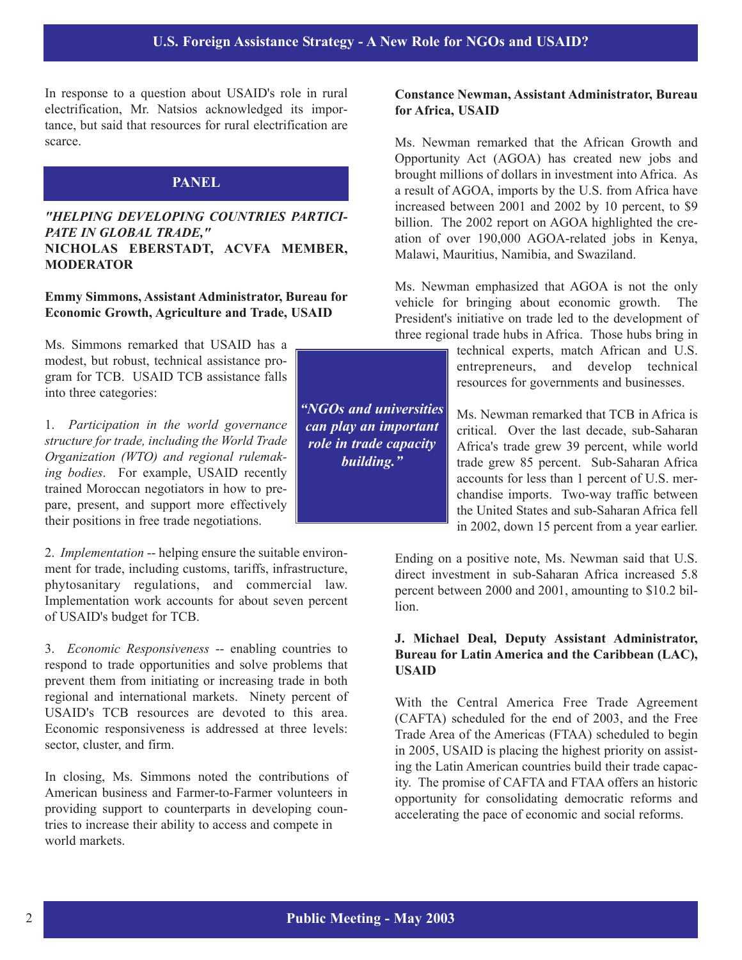In response to a question about USAID's role in rural electrification, Mr. Natsios acknowledged its importance, but said that resources for rural electrification are scarce.

## **PANEL**

#### *"HELPING DEVELOPING COUNTRIES PARTICI-PATE IN GLOBAL TRADE,"* **NICHOLAS EBERSTADT, ACVFA MEMBER, MODERATOR**

#### **Emmy Simmons, Assistant Administrator, Bureau for Economic Growth, Agriculture and Trade, USAID**

Ms. Simmons remarked that USAID has a modest, but robust, technical assistance program for TCB. USAID TCB assistance falls into three categories:

1. *Participation in the world governance structure for trade, including the World Trade Organization (WTO) and regional rulemaking bodies*. For example, USAID recently trained Moroccan negotiators in how to prepare, present, and support more effectively their positions in free trade negotiations.

2. *Implementation* -- helping ensure the suitable environment for trade, including customs, tariffs, infrastructure, phytosanitary regulations, and commercial law. Implementation work accounts for about seven percent of USAID's budget for TCB.

3. *Economic Responsiveness* -- enabling countries to respond to trade opportunities and solve problems that prevent them from initiating or increasing trade in both regional and international markets. Ninety percent of USAID's TCB resources are devoted to this area. Economic responsiveness is addressed at three levels: sector, cluster, and firm.

In closing, Ms. Simmons noted the contributions of American business and Farmer-to-Farmer volunteers in providing support to counterparts in developing countries to increase their ability to access and compete in world markets.

*"NGOs and universities can play an important role in trade capacity building."*

#### **Constance Newman, Assistant Administrator, Bureau for Africa, USAID**

Ms. Newman remarked that the African Growth and Opportunity Act (AGOA) has created new jobs and brought millions of dollars in investment into Africa. As a result of AGOA, imports by the U.S. from Africa have increased between 2001 and 2002 by 10 percent, to \$9 billion. The 2002 report on AGOA highlighted the creation of over 190,000 AGOA-related jobs in Kenya, Malawi, Mauritius, Namibia, and Swaziland.

Ms. Newman emphasized that AGOA is not the only vehicle for bringing about economic growth. The President's initiative on trade led to the development of three regional trade hubs in Africa. Those hubs bring in

> technical experts, match African and U.S. entrepreneurs, and develop technical resources for governments and businesses.

> Ms. Newman remarked that TCB in Africa is critical. Over the last decade, sub-Saharan Africa's trade grew 39 percent, while world trade grew 85 percent. Sub-Saharan Africa accounts for less than 1 percent of U.S. merchandise imports. Two-way traffic between the United States and sub-Saharan Africa fell in 2002, down 15 percent from a year earlier.

Ending on a positive note, Ms. Newman said that U.S. direct investment in sub-Saharan Africa increased 5.8 percent between 2000 and 2001, amounting to \$10.2 billion.

#### **J. Michael Deal, Deputy Assistant Administrator, Bureau for Latin America and the Caribbean (LAC), USAID**

With the Central America Free Trade Agreement (CAFTA) scheduled for the end of 2003, and the Free Trade Area of the Americas (FTAA) scheduled to begin in 2005, USAID is placing the highest priority on assisting the Latin American countries build their trade capacity. The promise of CAFTA and FTAA offers an historic opportunity for consolidating democratic reforms and accelerating the pace of economic and social reforms.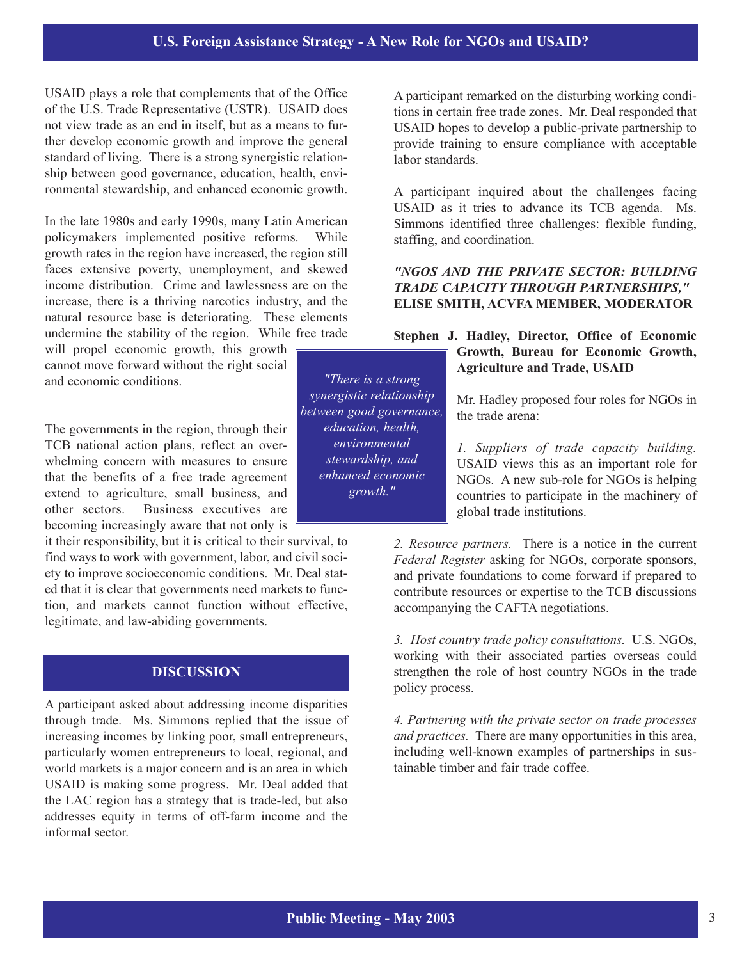## **U.S. Foreign Assistance Strategy - A New Role for NGOs and USAID?**

USAID plays a role that complements that of the Office of the U.S. Trade Representative (USTR). USAID does not view trade as an end in itself, but as a means to further develop economic growth and improve the general standard of living. There is a strong synergistic relationship between good governance, education, health, environmental stewardship, and enhanced economic growth.

In the late 1980s and early 1990s, many Latin American policymakers implemented positive reforms. While growth rates in the region have increased, the region still faces extensive poverty, unemployment, and skewed income distribution. Crime and lawlessness are on the increase, there is a thriving narcotics industry, and the natural resource base is deteriorating. These elements undermine the stability of the region. While free trade

will propel economic growth, this growth cannot move forward without the right social and economic conditions.

The governments in the region, through their TCB national action plans, reflect an overwhelming concern with measures to ensure that the benefits of a free trade agreement extend to agriculture, small business, and other sectors. Business executives are becoming increasingly aware that not only is

it their responsibility, but it is critical to their survival, to find ways to work with government, labor, and civil society to improve socioeconomic conditions. Mr. Deal stated that it is clear that governments need markets to function, and markets cannot function without effective, legitimate, and law-abiding governments.

## **DISCUSSION**

A participant asked about addressing income disparities through trade. Ms. Simmons replied that the issue of increasing incomes by linking poor, small entrepreneurs, particularly women entrepreneurs to local, regional, and world markets is a major concern and is an area in which USAID is making some progress. Mr. Deal added that the LAC region has a strategy that is trade-led, but also addresses equity in terms of off-farm income and the informal sector.

A participant remarked on the disturbing working conditions in certain free trade zones. Mr. Deal responded that USAID hopes to develop a public-private partnership to provide training to ensure compliance with acceptable labor standards.

A participant inquired about the challenges facing USAID as it tries to advance its TCB agenda. Ms. Simmons identified three challenges: flexible funding, staffing, and coordination.

#### *"NGOS AND THE PRIVATE SECTOR: BUILDING TRADE CAPACITY THROUGH PARTNERSHIPS,"* **ELISE SMITH, ACVFA MEMBER, MODERATOR**

#### **Stephen J. Hadley, Director, Office of Economic Growth, Bureau for Economic Growth, Agriculture and Trade, USAID**

Mr. Hadley proposed four roles for NGOs in the trade arena:

*1. Suppliers of trade capacity building.* USAID views this as an important role for NGOs. A new sub-role for NGOs is helping countries to participate in the machinery of global trade institutions.

*2. Resource partners.* There is a notice in the current *Federal Register* asking for NGOs, corporate sponsors, and private foundations to come forward if prepared to contribute resources or expertise to the TCB discussions accompanying the CAFTA negotiations.

*3. Host country trade policy consultations.* U.S. NGOs, working with their associated parties overseas could strengthen the role of host country NGOs in the trade policy process.

*4. Partnering with the private sector on trade processes and practices.* There are many opportunities in this area, including well-known examples of partnerships in sustainable timber and fair trade coffee.

*"There is a strong synergistic relationship between good governance, education, health, environmental stewardship, and enhanced economic growth."*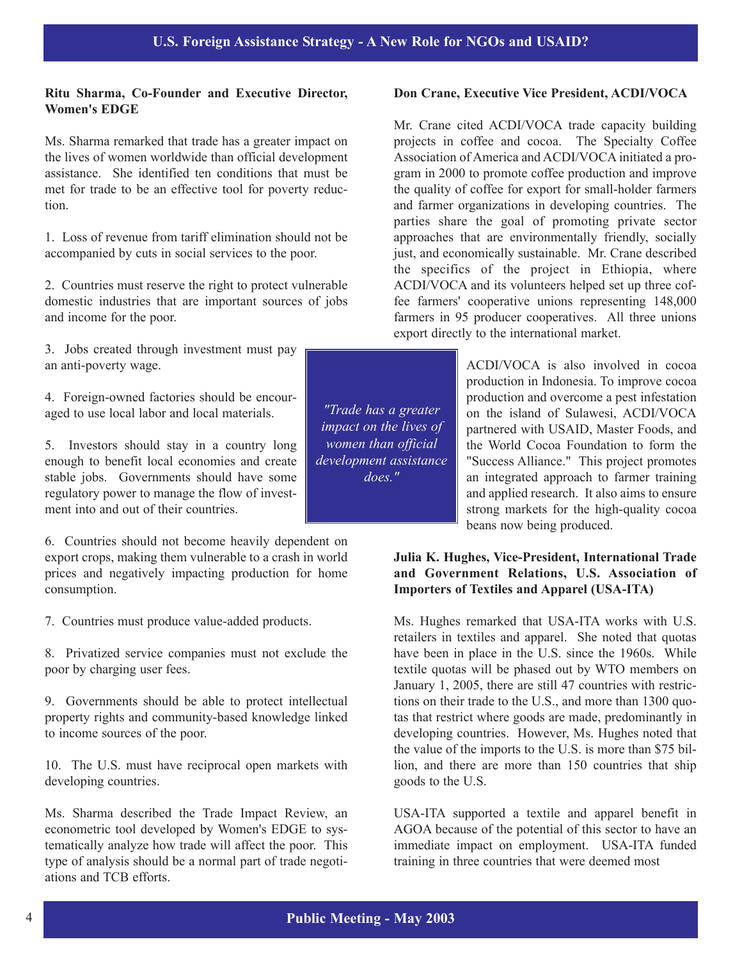### **Ritu Sharma, Co-Founder and Executive Director, Women's EDGE**

Ms. Sharma remarked that trade has a greater impact on the lives of women worldwide than official development assistance. She identified ten conditions that must be met for trade to be an effective tool for poverty reduction.

1. Loss of revenue from tariff elimination should not be accompanied by cuts in social services to the poor.

2. Countries must reserve the right to protect vulnerable domestic industries that are important sources of jobs and income for the poor.

3. Jobs created through investment must pay an anti-poverty wage.

4. Foreign-owned factories should be encouraged to use local labor and local materials.

5. Investors should stay in a country long enough to benefit local economies and create stable jobs. Governments should have some regulatory power to manage the flow of investment into and out of their countries.

6. Countries should not become heavily dependent on export crops, making them vulnerable to a crash in world prices and negatively impacting production for home consumption.

7. Countries must produce value-added products.

8. Privatized service companies must not exclude the poor by charging user fees.

9. Governments should be able to protect intellectual property rights and community-based knowledge linked to income sources of the poor.

10. The U.S. must have reciprocal open markets with developing countries.

Ms. Sharma described the Trade Impact Review, an econometric tool developed by Women's EDGE to systematically analyze how trade will affect the poor. This type of analysis should be a normal part of trade negotiations and TCB efforts.

**Don Crane, Executive Vice President, ACDI/VOCA**

Mr. Crane cited ACDI/VOCA trade capacity building projects in coffee and cocoa. The Specialty Coffee Association of America and ACDI/VOCA initiated a program in 2000 to promote coffee production and improve the quality of coffee for export for small-holder farmers and farmer organizations in developing countries. The parties share the goal of promoting private sector approaches that are environmentally friendly, socially just, and economically sustainable. Mr. Crane described the specifics of the project in Ethiopia, where ACDI/VOCA and its volunteers helped set up three coffee farmers' cooperative unions representing 148,000 farmers in 95 producer cooperatives. All three unions export directly to the international market.

> ACDI/VOCA is also involved in cocoa production in Indonesia. To improve cocoa production and overcome a pest infestation on the island of Sulawesi, ACDI/VOCA partnered with USAID, Master Foods, and the World Cocoa Foundation to form the "Success Alliance." This project promotes an integrated approach to farmer training and applied research. It also aims to ensure strong markets for the high-quality cocoa beans now being produced.

## **Julia K. Hughes, Vice-President, International Trade and Government Relations, U.S. Association of Importers of Textiles and Apparel (USA-ITA)**

Ms. Hughes remarked that USA-ITA works with U.S. retailers in textiles and apparel. She noted that quotas have been in place in the U.S. since the 1960s. While textile quotas will be phased out by WTO members on January 1, 2005, there are still 47 countries with restrictions on their trade to the U.S., and more than 1300 quotas that restrict where goods are made, predominantly in developing countries. However, Ms. Hughes noted that the value of the imports to the U.S. is more than \$75 billion, and there are more than 150 countries that ship goods to the U.S.

USA-ITA supported a textile and apparel benefit in AGOA because of the potential of this sector to have an immediate impact on employment. USA-ITA funded training in three countries that were deemed most

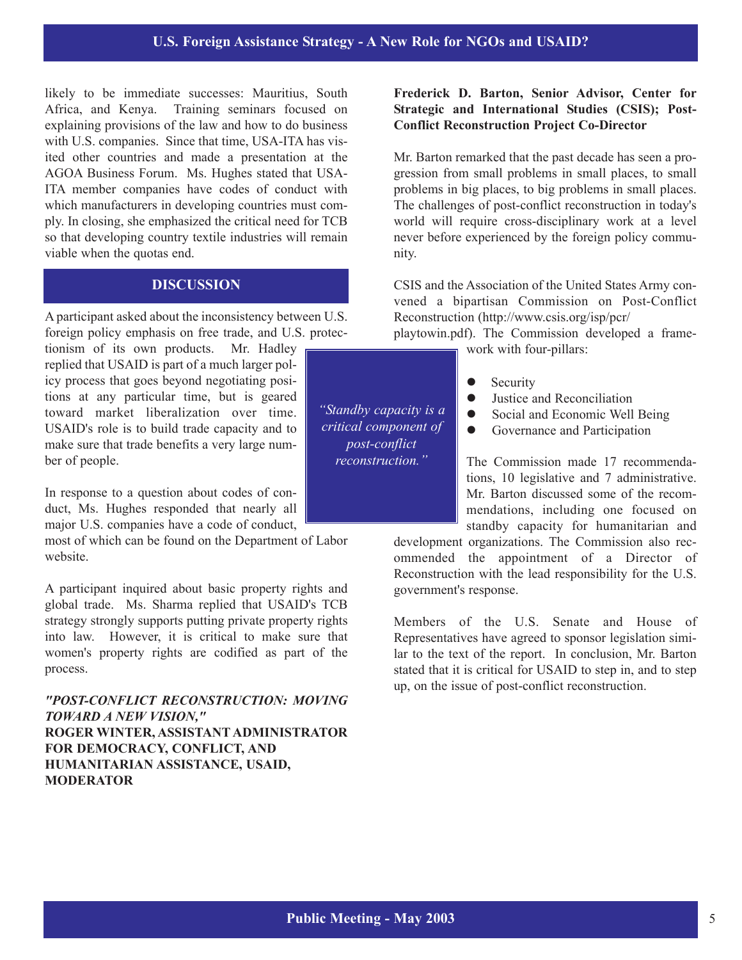## **U.S. Foreign Assistance Strategy - A New Role for NGOs and USAID?**

likely to be immediate successes: Mauritius, South Africa, and Kenya. Training seminars focused on explaining provisions of the law and how to do business with U.S. companies. Since that time, USA-ITA has visited other countries and made a presentation at the AGOA Business Forum. Ms. Hughes stated that USA-ITA member companies have codes of conduct with which manufacturers in developing countries must comply. In closing, she emphasized the critical need for TCB so that developing country textile industries will remain viable when the quotas end.

## **DISCUSSION**

A participant asked about the inconsistency between U.S. foreign policy emphasis on free trade, and U.S. protec-

tionism of its own products. Mr. Hadley replied that USAID is part of a much larger policy process that goes beyond negotiating positions at any particular time, but is geared toward market liberalization over time. USAID's role is to build trade capacity and to make sure that trade benefits a very large number of people.

In response to a question about codes of conduct, Ms. Hughes responded that nearly all major U.S. companies have a code of conduct,

most of which can be found on the Department of Labor website.

A participant inquired about basic property rights and global trade. Ms. Sharma replied that USAID's TCB strategy strongly supports putting private property rights into law. However, it is critical to make sure that women's property rights are codified as part of the process.

*"POST-CONFLICT RECONSTRUCTION: MOVING TOWARD A NEW VISION,"* **ROGER WINTER, ASSISTANT ADMINISTRATOR FOR DEMOCRACY, CONFLICT, AND HUMANITARIAN ASSISTANCE, USAID, MODERATOR**

#### **Frederick D. Barton, Senior Advisor, Center for Strategic and International Studies (CSIS); Post-Conflict Reconstruction Project Co-Director**

Mr. Barton remarked that the past decade has seen a progression from small problems in small places, to small problems in big places, to big problems in small places. The challenges of post-conflict reconstruction in today's world will require cross-disciplinary work at a level never before experienced by the foreign policy community.

CSIS and the Association of the United States Army convened a bipartisan Commission on Post-Conflict Reconstruction (http://www.csis.org/isp/pcr/ playtowin.pdf). The Commission developed a frame-

work with four-pillars:

- $\bullet$  Security
- Justice and Reconciliation
- Social and Economic Well Being
- Governance and Participation

The Commission made 17 recommendations, 10 legislative and 7 administrative. Mr. Barton discussed some of the recommendations, including one focused on standby capacity for humanitarian and

development organizations. The Commission also recommended the appointment of a Director of Reconstruction with the lead responsibility for the U.S. government's response.

Members of the U.S. Senate and House of Representatives have agreed to sponsor legislation similar to the text of the report. In conclusion, Mr. Barton stated that it is critical for USAID to step in, and to step up, on the issue of post-conflict reconstruction.

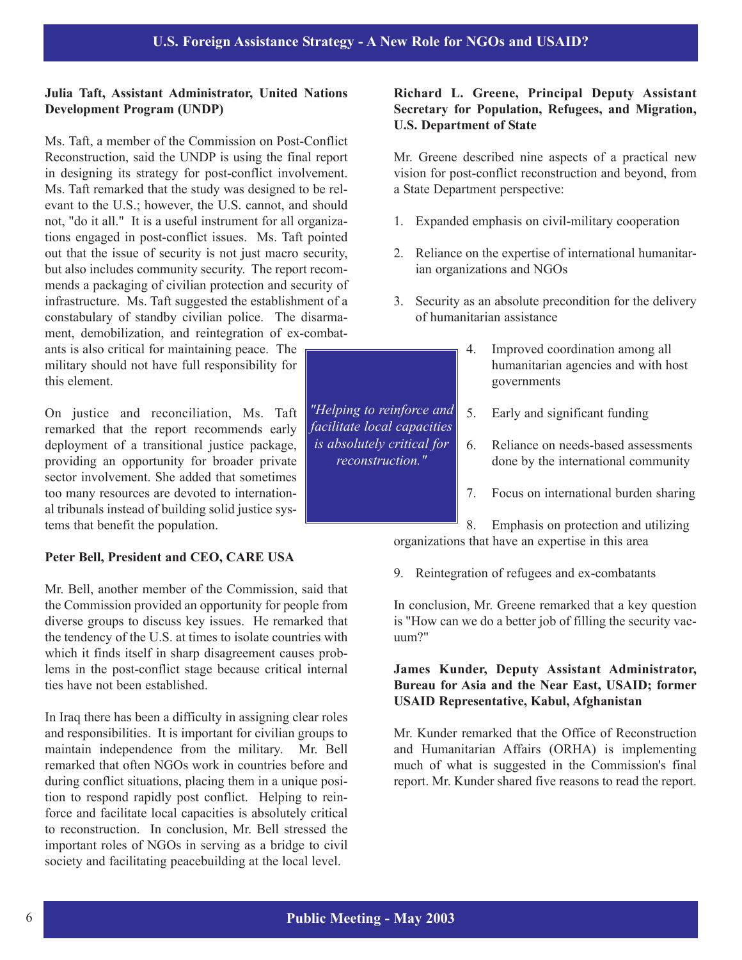#### **Julia Taft, Assistant Administrator, United Nations Development Program (UNDP)**

Ms. Taft, a member of the Commission on Post-Conflict Reconstruction, said the UNDP is using the final report in designing its strategy for post-conflict involvement. Ms. Taft remarked that the study was designed to be relevant to the U.S.; however, the U.S. cannot, and should not, "do it all." It is a useful instrument for all organizations engaged in post-conflict issues. Ms. Taft pointed out that the issue of security is not just macro security, but also includes community security. The report recommends a packaging of civilian protection and security of infrastructure. Ms. Taft suggested the establishment of a constabulary of standby civilian police. The disarmament, demobilization, and reintegration of ex-combat-

ants is also critical for maintaining peace. The military should not have full responsibility for this element.

On justice and reconciliation, Ms. Taft remarked that the report recommends early deployment of a transitional justice package, providing an opportunity for broader private sector involvement. She added that sometimes too many resources are devoted to international tribunals instead of building solid justice systems that benefit the population.

## **Peter Bell, President and CEO, CARE USA**

Mr. Bell, another member of the Commission, said that the Commission provided an opportunity for people from diverse groups to discuss key issues. He remarked that the tendency of the U.S. at times to isolate countries with which it finds itself in sharp disagreement causes problems in the post-conflict stage because critical internal ties have not been established.

In Iraq there has been a difficulty in assigning clear roles and responsibilities. It is important for civilian groups to maintain independence from the military. Mr. Bell remarked that often NGOs work in countries before and during conflict situations, placing them in a unique position to respond rapidly post conflict. Helping to reinforce and facilitate local capacities is absolutely critical to reconstruction. In conclusion, Mr. Bell stressed the important roles of NGOs in serving as a bridge to civil society and facilitating peacebuilding at the local level.

### **Richard L. Greene, Principal Deputy Assistant Secretary for Population, Refugees, and Migration, U.S. Department of State**

Mr. Greene described nine aspects of a practical new vision for post-conflict reconstruction and beyond, from a State Department perspective:

- 1. Expanded emphasis on civil-military cooperation
- 2. Reliance on the expertise of international humanitarian organizations and NGOs
- 3. Security as an absolute precondition for the delivery of humanitarian assistance
	- 4. Improved coordination among all humanitarian agencies and with host governments
	- 5. Early and significant funding
	- 6. Reliance on needs-based assessments done by the international community
	- 7. Focus on international burden sharing

8. Emphasis on protection and utilizing organizations that have an expertise in this area

9. Reintegration of refugees and ex-combatants

In conclusion, Mr. Greene remarked that a key question is "How can we do a better job of filling the security vacuum?"

#### **James Kunder, Deputy Assistant Administrator, Bureau for Asia and the Near East, USAID; former USAID Representative, Kabul, Afghanistan**

Mr. Kunder remarked that the Office of Reconstruction and Humanitarian Affairs (ORHA) is implementing much of what is suggested in the Commission's final report. Mr. Kunder shared five reasons to read the report.

*"Helping to reinforce and facilitate local capacities is absolutely critical for reconstruction."*